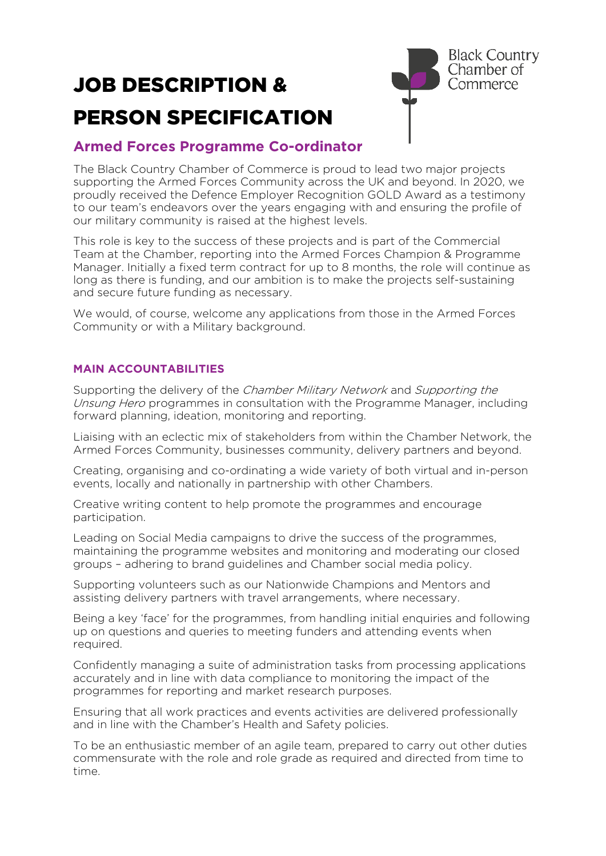# JOB DESCRIPTION & PERSON SPECIFICATION



## **Armed Forces Programme Co-ordinator**

The Black Country Chamber of Commerce is proud to lead two major projects supporting the Armed Forces Community across the UK and beyond. In 2020, we proudly received the Defence Employer Recognition GOLD Award as a testimony to our team's endeavors over the years engaging with and ensuring the profile of our military community is raised at the highest levels.

This role is key to the success of these projects and is part of the Commercial Team at the Chamber, reporting into the Armed Forces Champion & Programme Manager. Initially a fixed term contract for up to 8 months, the role will continue as long as there is funding, and our ambition is to make the projects self-sustaining and secure future funding as necessary.

We would, of course, welcome any applications from those in the Armed Forces Community or with a Military background.

### **MAIN ACCOUNTABILITIES**

Supporting the delivery of the Chamber Military Network and Supporting the Unsung Hero programmes in consultation with the Programme Manager, including forward planning, ideation, monitoring and reporting.

Liaising with an eclectic mix of stakeholders from within the Chamber Network, the Armed Forces Community, businesses community, delivery partners and beyond.

Creating, organising and co-ordinating a wide variety of both virtual and in-person events, locally and nationally in partnership with other Chambers.

Creative writing content to help promote the programmes and encourage participation.

Leading on Social Media campaigns to drive the success of the programmes, maintaining the programme websites and monitoring and moderating our closed groups – adhering to brand guidelines and Chamber social media policy.

Supporting volunteers such as our Nationwide Champions and Mentors and assisting delivery partners with travel arrangements, where necessary.

Being a key 'face' for the programmes, from handling initial enquiries and following up on questions and queries to meeting funders and attending events when required.

Confidently managing a suite of administration tasks from processing applications accurately and in line with data compliance to monitoring the impact of the programmes for reporting and market research purposes.

Ensuring that all work practices and events activities are delivered professionally and in line with the Chamber's Health and Safety policies.

To be an enthusiastic member of an agile team, prepared to carry out other duties commensurate with the role and role grade as required and directed from time to time.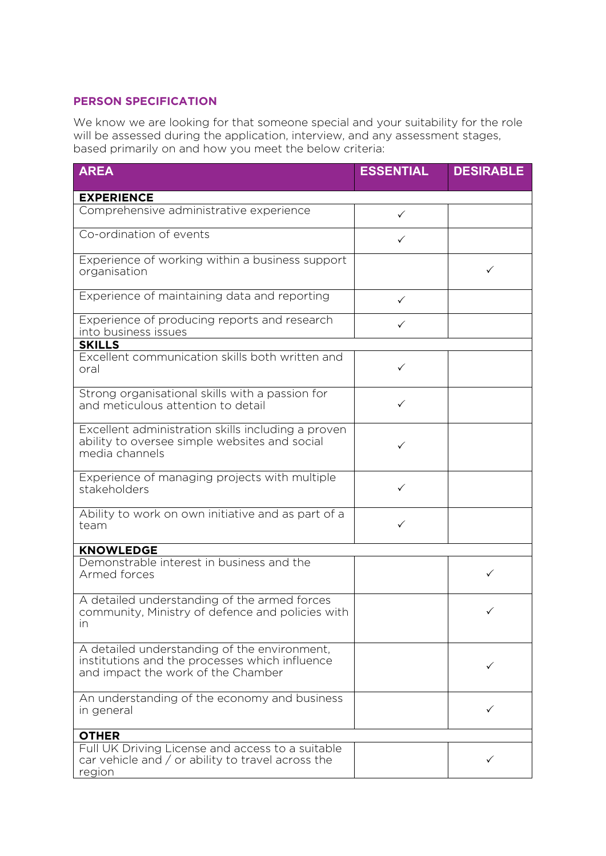### **PERSON SPECIFICATION**

We know we are looking for that someone special and your suitability for the role will be assessed during the application, interview, and any assessment stages, based primarily on and how you meet the below criteria:

| <b>AREA</b>                                                                                                                          | <b>ESSENTIAL</b> | <b>DESIRABLE</b> |
|--------------------------------------------------------------------------------------------------------------------------------------|------------------|------------------|
| <b>EXPERIENCE</b>                                                                                                                    |                  |                  |
| Comprehensive administrative experience                                                                                              | $\checkmark$     |                  |
| Co-ordination of events                                                                                                              | $\checkmark$     |                  |
| Experience of working within a business support<br>organisation                                                                      |                  | ✓                |
| Experience of maintaining data and reporting                                                                                         | $\checkmark$     |                  |
| Experience of producing reports and research<br>into business issues                                                                 | $\checkmark$     |                  |
| <b>SKILLS</b>                                                                                                                        |                  |                  |
| Excellent communication skills both written and<br>oral                                                                              | $\checkmark$     |                  |
| Strong organisational skills with a passion for<br>and meticulous attention to detail                                                | ✓                |                  |
| Excellent administration skills including a proven<br>ability to oversee simple websites and social<br>media channels                | ✓                |                  |
| Experience of managing projects with multiple<br>stakeholders                                                                        | ✓                |                  |
| Ability to work on own initiative and as part of a<br>team                                                                           | ✓                |                  |
| <b>KNOWLEDGE</b>                                                                                                                     |                  |                  |
| Demonstrable interest in business and the<br>Armed forces                                                                            |                  | ✓                |
| A detailed understanding of the armed forces<br>community, Ministry of defence and policies with<br>in                               |                  | ✓                |
| A detailed understanding of the environment,<br>institutions and the processes which influence<br>and impact the work of the Chamber |                  | ✓                |
| An understanding of the economy and business<br>in general                                                                           |                  | ✓                |
| <b>OTHER</b>                                                                                                                         |                  |                  |
| Full UK Driving License and access to a suitable<br>car vehicle and $\sqrt{2}$ or ability to travel across the<br>region             |                  | ✓                |